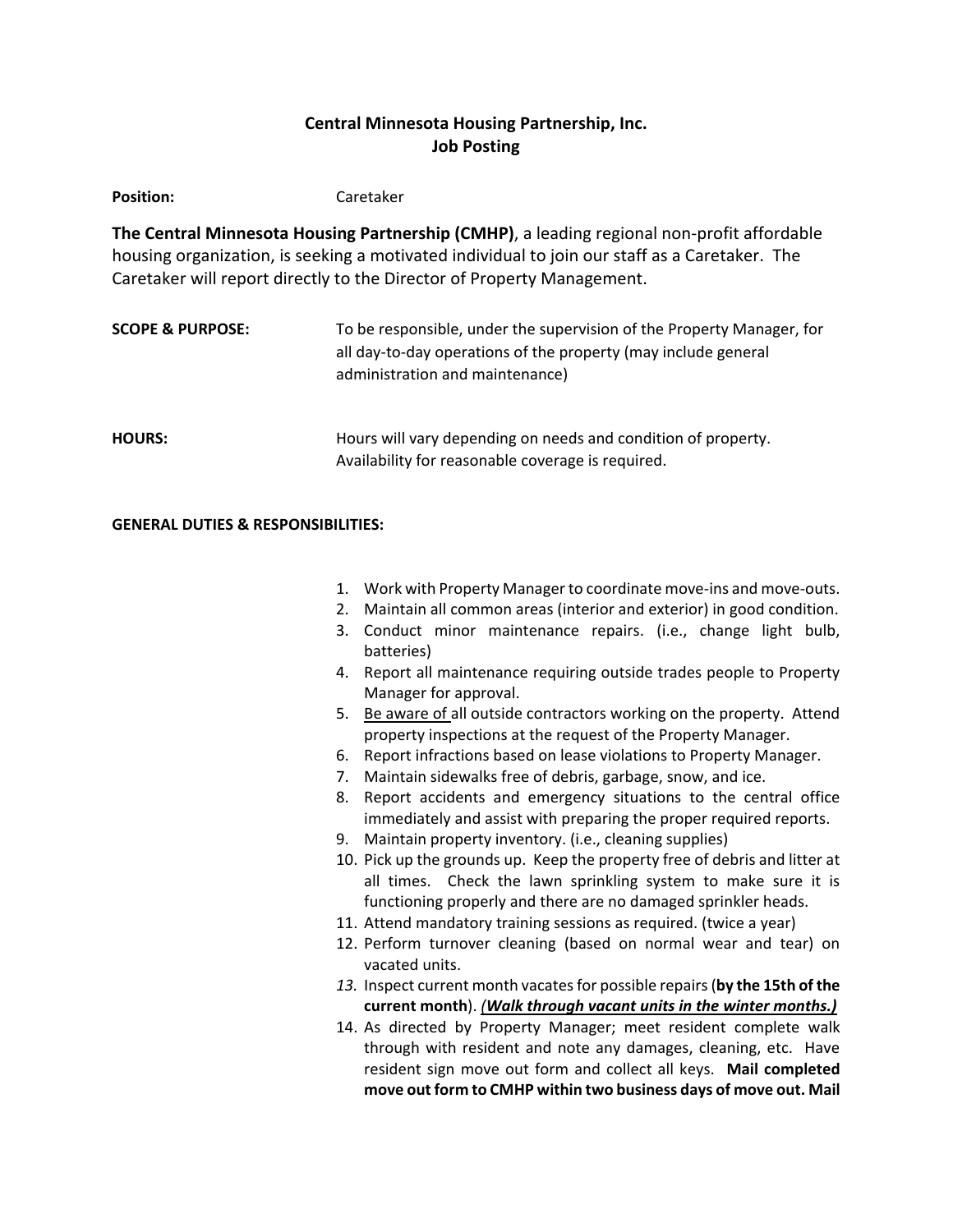# **Central Minnesota Housing Partnership, Inc. Job Posting**

Position: Caretaker

**The Central Minnesota Housing Partnership (CMHP)**, a leading regional non-profit affordable housing organization, is seeking a motivated individual to join our staff as a Caretaker. The Caretaker will report directly to the Director of Property Management.

| <b>SCOPE &amp; PURPOSE:</b> | To be responsible, under the supervision of the Property Manager, for<br>all day-to-day operations of the property (may include general<br>administration and maintenance) |
|-----------------------------|----------------------------------------------------------------------------------------------------------------------------------------------------------------------------|
| <b>HOURS:</b>               | Hours will vary depending on needs and condition of property.<br>Availability for reasonable coverage is required.                                                         |

# **GENERAL DUTIES & RESPONSIBILITIES:**

- 1. Work with Property Manager to coordinate move-ins and move-outs.
- 2. Maintain all common areas (interior and exterior) in good condition.
- 3. Conduct minor maintenance repairs. (i.e., change light bulb, batteries)
- 4. Report all maintenance requiring outside trades people to Property Manager for approval.
- 5. Be aware of all outside contractors working on the property. Attend property inspections at the request of the Property Manager.
- 6. Report infractions based on lease violations to Property Manager.
- 7. Maintain sidewalks free of debris, garbage, snow, and ice.
- 8. Report accidents and emergency situations to the central office immediately and assist with preparing the proper required reports.
- 9. Maintain property inventory. (i.e., cleaning supplies)
- 10. Pick up the grounds up. Keep the property free of debris and litter at all times. Check the lawn sprinkling system to make sure it is functioning properly and there are no damaged sprinkler heads.
- 11. Attend mandatory training sessions as required. (twice a year)
- 12. Perform turnover cleaning (based on normal wear and tear) on vacated units.
- *13.* Inspect current month vacatesfor possible repairs(**by the 15th of the current month**). *(Walk through vacant units in the winter months.)*
- 14. As directed by Property Manager; meet resident complete walk through with resident and note any damages, cleaning, etc. Have resident sign move out form and collect all keys. **Mail completed move out form to CMHP within two business days of move out. Mail**